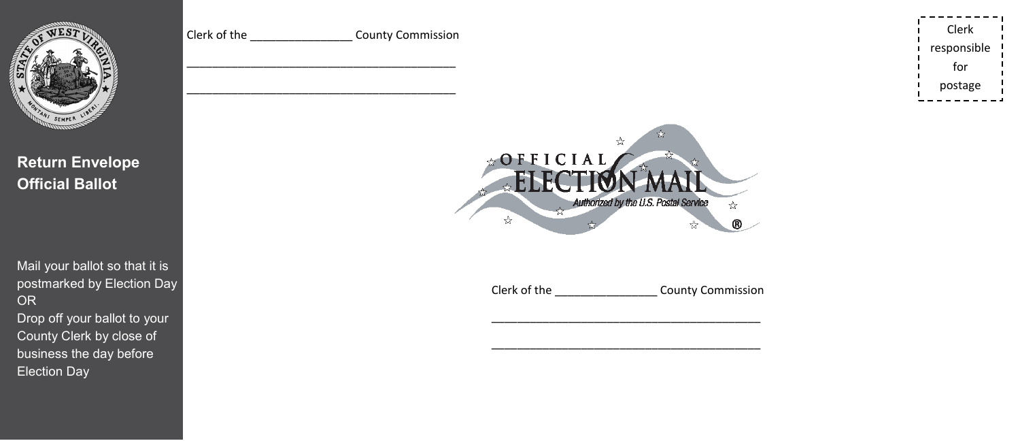

**Return Envelope Official Ballot** 

Mail your ballot so that it is postmarked by Election Day OR Drop off your ballot to your County Clerk by close of business the day before Election Day